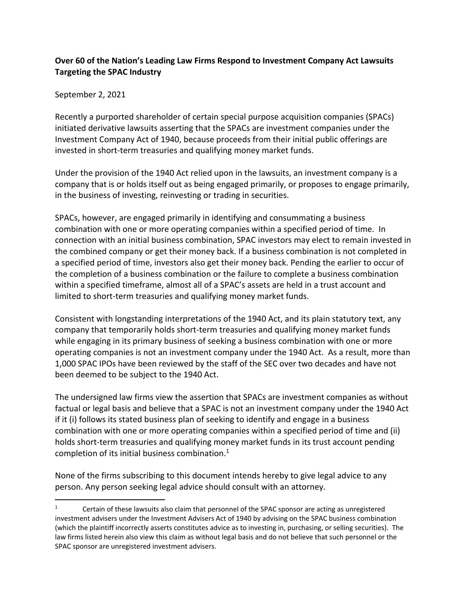## **Over 60 of the Nation's Leading Law Firms Respond to Investment Company Act Lawsuits Targeting the SPAC Industry**

September 2, 2021

Recently a purported shareholder of certain special purpose acquisition companies (SPACs) initiated derivative lawsuits asserting that the SPACs are investment companies under the Investment Company Act of 1940, because proceeds from their initial public offerings are invested in short-term treasuries and qualifying money market funds.

Under the provision of the 1940 Act relied upon in the lawsuits, an investment company is a company that is or holds itself out as being engaged primarily, or proposes to engage primarily, in the business of investing, reinvesting or trading in securities.

SPACs, however, are engaged primarily in identifying and consummating a business combination with one or more operating companies within a specified period of time. In connection with an initial business combination, SPAC investors may elect to remain invested in the combined company or get their money back. If a business combination is not completed in a specified period of time, investors also get their money back. Pending the earlier to occur of the completion of a business combination or the failure to complete a business combination within a specified timeframe, almost all of a SPAC's assets are held in a trust account and limited to short-term treasuries and qualifying money market funds.

Consistent with longstanding interpretations of the 1940 Act, and its plain statutory text, any company that temporarily holds short-term treasuries and qualifying money market funds while engaging in its primary business of seeking a business combination with one or more operating companies is not an investment company under the 1940 Act. As a result, more than 1,000 SPAC IPOs have been reviewed by the staff of the SEC over two decades and have not been deemed to be subject to the 1940 Act.

The undersigned law firms view the assertion that SPACs are investment companies as without factual or legal basis and believe that a SPAC is not an investment company under the 1940 Act if it (i) follows its stated business plan of seeking to identify and engage in a business combination with one or more operating companies within a specified period of time and (ii) holds short-term treasuries and qualifying money market funds in its trust account pending completion of its initial business combination.<sup>1</sup>

None of the firms subscribing to this document intends hereby to give legal advice to any person. Any person seeking legal advice should consult with an attorney.

<sup>&</sup>lt;sup>1</sup> Certain of these lawsuits also claim that personnel of the SPAC sponsor are acting as unregistered investment advisers under the Investment Advisers Act of 1940 by advising on the SPAC business combination (which the plaintiff incorrectly asserts constitutes advice as to investing in, purchasing, or selling securities). The law firms listed herein also view this claim as without legal basis and do not believe that such personnel or the SPAC sponsor are unregistered investment advisers.